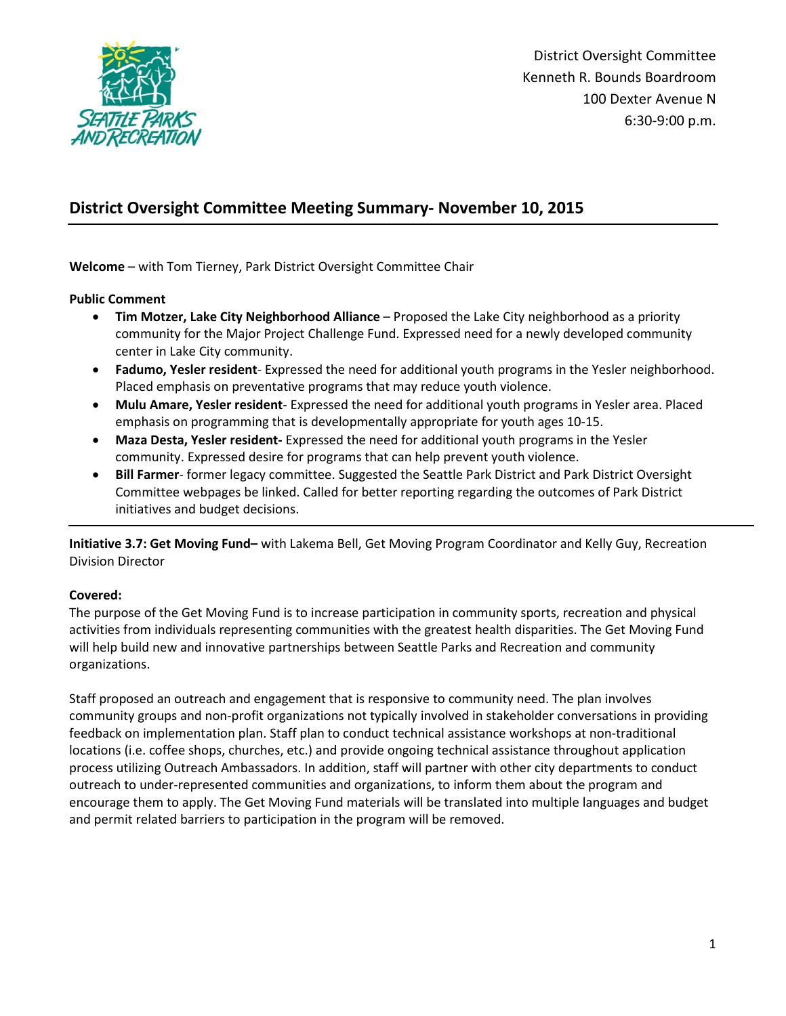

District Oversight Committee Kenneth R. Bounds Boardroom 100 Dexter Avenue N 6:30-9:00 p.m.

# **District Oversight Committee Meeting Summary- November 10, 2015**

**Welcome** – with Tom Tierney, Park District Oversight Committee Chair

**Public Comment**

- **Tim Motzer, Lake City Neighborhood Alliance**  Proposed the Lake City neighborhood as a priority community for the Major Project Challenge Fund. Expressed need for a newly developed community center in Lake City community.
- **Fadumo, Yesler resident** Expressed the need for additional youth programs in the Yesler neighborhood. Placed emphasis on preventative programs that may reduce youth violence.
- **Mulu Amare, Yesler resident** Expressed the need for additional youth programs in Yesler area. Placed emphasis on programming that is developmentally appropriate for youth ages 10-15.
- **Maza Desta, Yesler resident-** Expressed the need for additional youth programs in the Yesler community. Expressed desire for programs that can help prevent youth violence.
- **Bill Farmer** former legacy committee. Suggested the Seattle Park District and Park District Oversight Committee webpages be linked. Called for better reporting regarding the outcomes of Park District initiatives and budget decisions.

**Initiative 3.7: Get Moving Fund–** with Lakema Bell, Get Moving Program Coordinator and Kelly Guy, Recreation Division Director

## **Covered:**

The purpose of the Get Moving Fund is to increase participation in community sports, recreation and physical activities from individuals representing communities with the greatest health disparities. The Get Moving Fund will help build new and innovative partnerships between Seattle Parks and Recreation and community organizations.

Staff proposed an outreach and engagement that is responsive to community need. The plan involves community groups and non-profit organizations not typically involved in stakeholder conversations in providing feedback on implementation plan. Staff plan to conduct technical assistance workshops at non-traditional locations (i.e. coffee shops, churches, etc.) and provide ongoing technical assistance throughout application process utilizing Outreach Ambassadors. In addition, staff will partner with other city departments to conduct outreach to under-represented communities and organizations, to inform them about the program and encourage them to apply. The Get Moving Fund materials will be translated into multiple languages and budget and permit related barriers to participation in the program will be removed.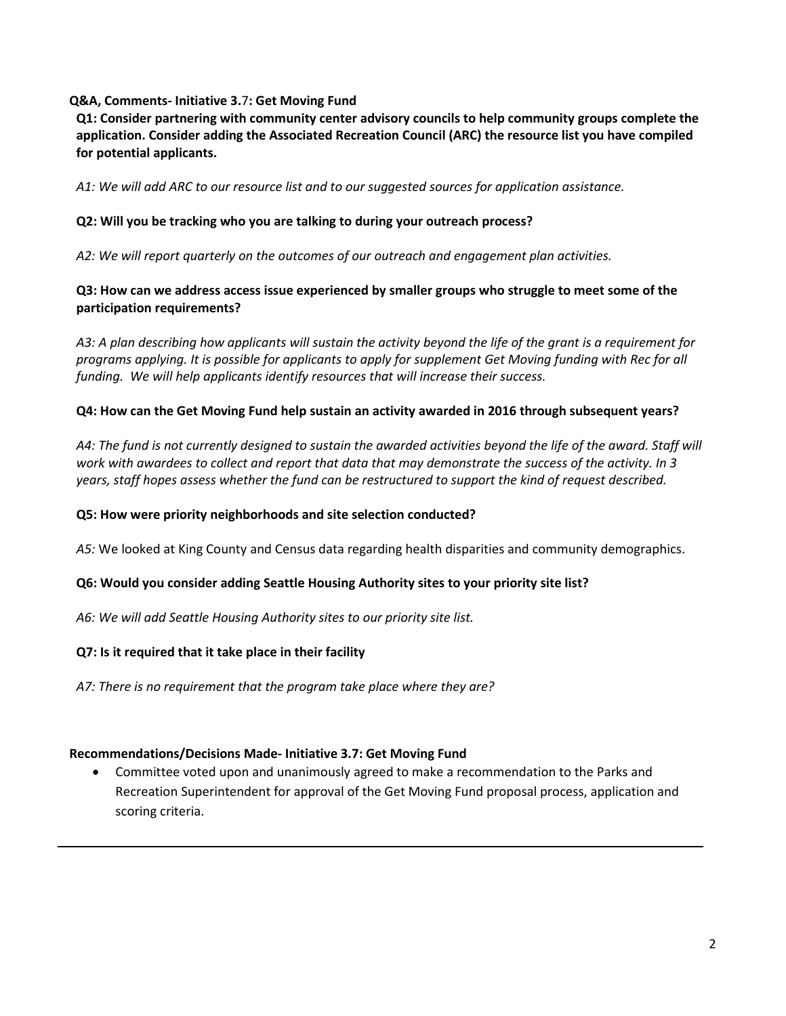## **Q&A, Comments- Initiative 3.**7**: Get Moving Fund**

**Q1: Consider partnering with community center advisory councils to help community groups complete the application. Consider adding the Associated Recreation Council (ARC) the resource list you have compiled for potential applicants.** 

*A1: We will add ARC to our resource list and to our suggested sources for application assistance.*

# **Q2: Will you be tracking who you are talking to during your outreach process?**

*A2: We will report quarterly on the outcomes of our outreach and engagement plan activities.* 

# **Q3: How can we address access issue experienced by smaller groups who struggle to meet some of the participation requirements?**

*A3: A plan describing how applicants will sustain the activity beyond the life of the grant is a requirement for programs applying. It is possible for applicants to apply for supplement Get Moving funding with Rec for all funding. We will help applicants identify resources that will increase their success.*

# **Q4: How can the Get Moving Fund help sustain an activity awarded in 2016 through subsequent years?**

*A4: The fund is not currently designed to sustain the awarded activities beyond the life of the award. Staff will work with awardees to collect and report that data that may demonstrate the success of the activity. In 3 years, staff hopes assess whether the fund can be restructured to support the kind of request described.* 

## **Q5: How were priority neighborhoods and site selection conducted?**

*A5:* We looked at King County and Census data regarding health disparities and community demographics.

# **Q6: Would you consider adding Seattle Housing Authority sites to your priority site list?**

*A6: We will add Seattle Housing Authority sites to our priority site list.* 

## **Q7: Is it required that it take place in their facility**

*A7: There is no requirement that the program take place where they are?*

## **Recommendations/Decisions Made- Initiative 3.7: Get Moving Fund**

• Committee voted upon and unanimously agreed to make a recommendation to the Parks and Recreation Superintendent for approval of the Get Moving Fund proposal process, application and scoring criteria.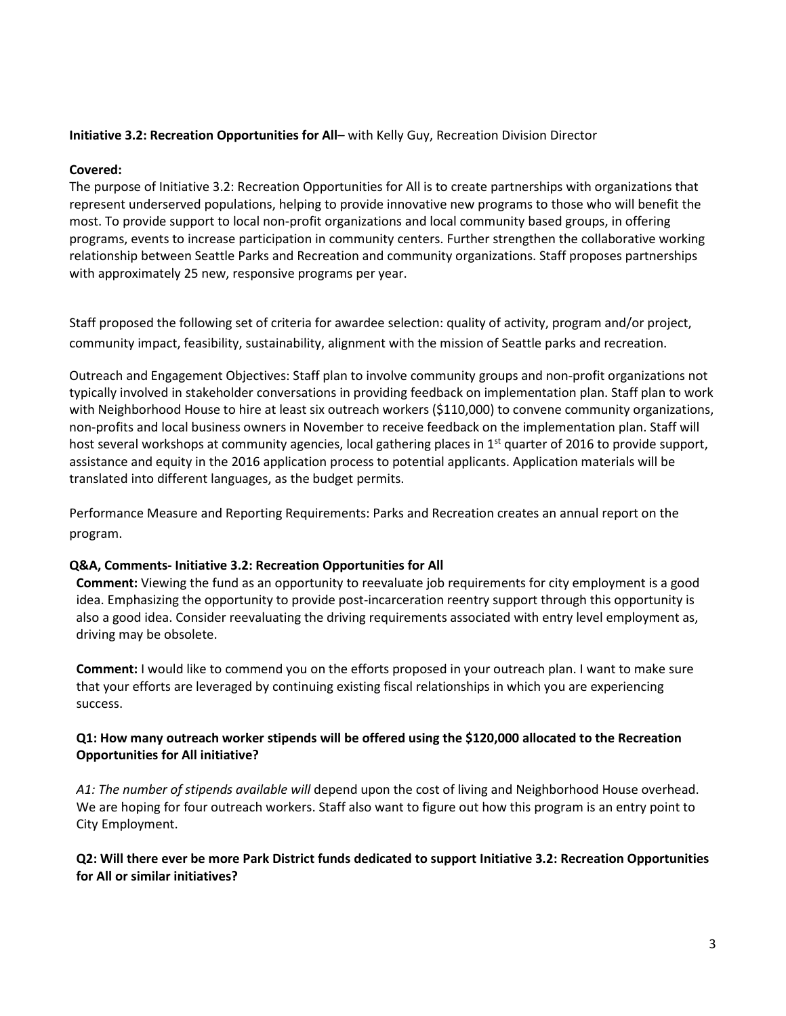## **Initiative 3.2: Recreation Opportunities for All–** with Kelly Guy, Recreation Division Director

## **Covered:**

The purpose of Initiative 3.2: Recreation Opportunities for All is to create partnerships with organizations that represent underserved populations, helping to provide innovative new programs to those who will benefit the most. To provide support to local non-profit organizations and local community based groups, in offering programs, events to increase participation in community centers. Further strengthen the collaborative working relationship between Seattle Parks and Recreation and community organizations. Staff proposes partnerships with approximately 25 new, responsive programs per year.

Staff proposed the following set of criteria for awardee selection: quality of activity, program and/or project, community impact, feasibility, sustainability, alignment with the mission of Seattle parks and recreation.

Outreach and Engagement Objectives: Staff plan to involve community groups and non-profit organizations not typically involved in stakeholder conversations in providing feedback on implementation plan. Staff plan to work with Neighborhood House to hire at least six outreach workers (\$110,000) to convene community organizations, non-profits and local business owners in November to receive feedback on the implementation plan. Staff will host several workshops at community agencies, local gathering places in 1<sup>st</sup> quarter of 2016 to provide support, assistance and equity in the 2016 application process to potential applicants. Application materials will be translated into different languages, as the budget permits.

Performance Measure and Reporting Requirements: Parks and Recreation creates an annual report on the program.

## **Q&A, Comments- Initiative 3.2: Recreation Opportunities for All**

**Comment:** Viewing the fund as an opportunity to reevaluate job requirements for city employment is a good idea. Emphasizing the opportunity to provide post-incarceration reentry support through this opportunity is also a good idea. Consider reevaluating the driving requirements associated with entry level employment as, driving may be obsolete.

**Comment:** I would like to commend you on the efforts proposed in your outreach plan. I want to make sure that your efforts are leveraged by continuing existing fiscal relationships in which you are experiencing success.

# **Q1: How many outreach worker stipends will be offered using the \$120,000 allocated to the Recreation Opportunities for All initiative?**

*A1: The number of stipends available will* depend upon the cost of living and Neighborhood House overhead. We are hoping for four outreach workers. Staff also want to figure out how this program is an entry point to City Employment.

# **Q2: Will there ever be more Park District funds dedicated to support Initiative 3.2: Recreation Opportunities for All or similar initiatives?**